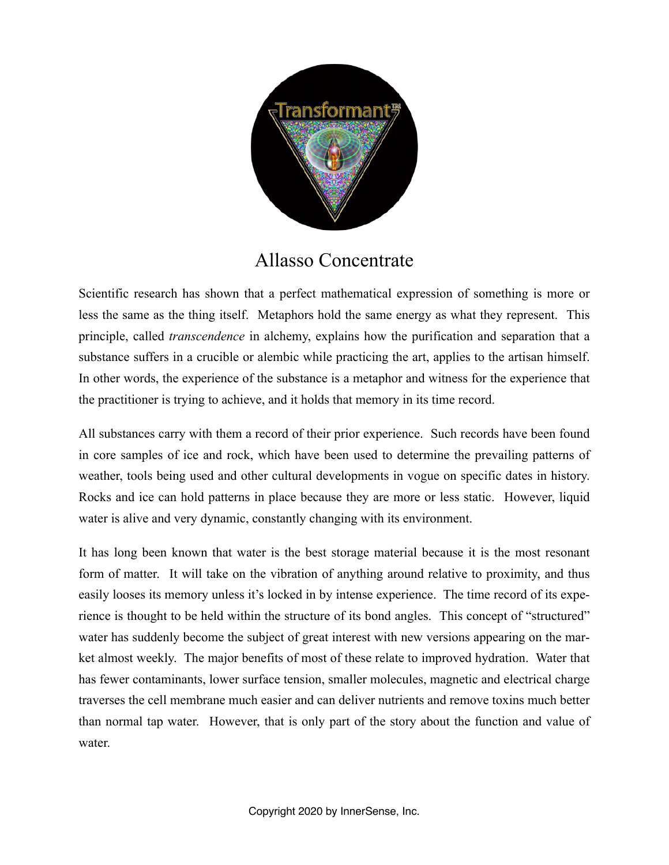

## Allasso Concentrate

Scientific research has shown that a perfect mathematical expression of something is more or less the same as the thing itself. Metaphors hold the same energy as what they represent. This principle, called *transcendence* in alchemy, explains how the purification and separation that a substance suffers in a crucible or alembic while practicing the art, applies to the artisan himself. In other words, the experience of the substance is a metaphor and witness for the experience that the practitioner is trying to achieve, and it holds that memory in its time record.

All substances carry with them a record of their prior experience. Such records have been found in core samples of ice and rock, which have been used to determine the prevailing patterns of weather, tools being used and other cultural developments in vogue on specific dates in history. Rocks and ice can hold patterns in place because they are more or less static. However, liquid water is alive and very dynamic, constantly changing with its environment.

It has long been known that water is the best storage material because it is the most resonant form of matter. It will take on the vibration of anything around relative to proximity, and thus easily looses its memory unless it's locked in by intense experience. The time record of its experience is thought to be held within the structure of its bond angles. This concept of "structured" water has suddenly become the subject of great interest with new versions appearing on the market almost weekly. The major benefits of most of these relate to improved hydration. Water that has fewer contaminants, lower surface tension, smaller molecules, magnetic and electrical charge traverses the cell membrane much easier and can deliver nutrients and remove toxins much better than normal tap water. However, that is only part of the story about the function and value of water.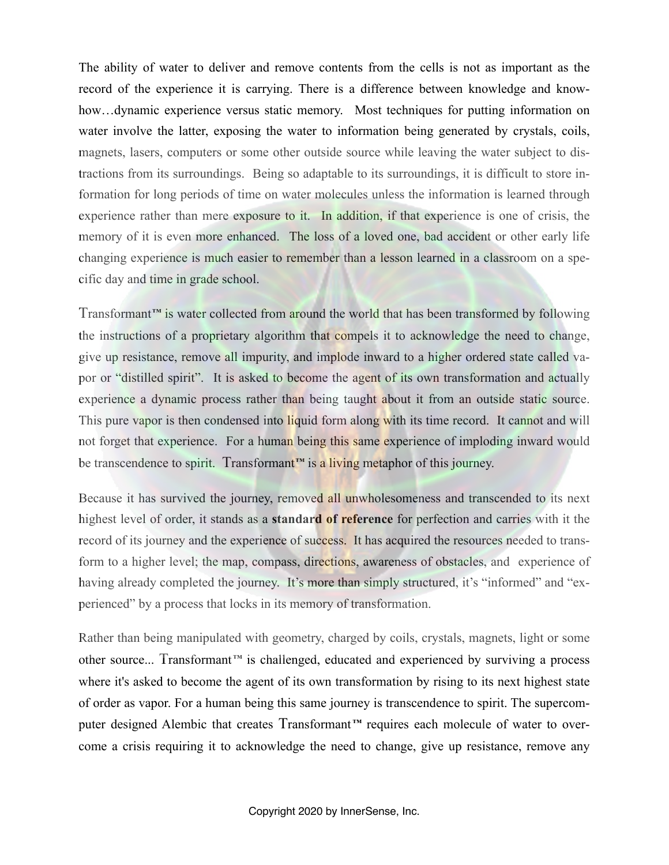The ability of water to deliver and remove contents from the cells is not as important as the record of the experience it is carrying. There is a difference between knowledge and knowhow...dynamic experience versus static memory. Most techniques for putting information on water involve the latter, exposing the water to information being generated by crystals, coils, magnets, lasers, computers or some other outside source while leaving the water subject to distractions from its surroundings. Being so adaptable to its surroundings, it is difficult to store information for long periods of time on water molecules unless the information is learned through experience rather than mere exposure to it. In addition, if that experience is one of crisis, the memory of it is even more enhanced. The loss of a loved one, bad accident or other early life changing experience is much easier to remember than a lesson learned in a classroom on a specific day and time in grade school.

Transformant**™** is water collected from around the world that has been transformed by following the instructions of a proprietary algorithm that compels it to acknowledge the need to change, give up resistance, remove all impurity, and implode inward to a higher ordered state called vapor or "distilled spirit". It is asked to become the agent of its own transformation and actually experience a dynamic process rather than being taught about it from an outside static source. This pure vapor is then condensed into liquid form along with its time record. It cannot and will not forget that experience. For a human being this same experience of imploding inward would be transcendence to spirit. Transformant**™** is a living metaphor of this journey.

Because it has survived the journey, removed all unwholesomeness and transcended to its next highest level of order, it stands as a **standard of reference** for perfection and carries with it the record of its journey and the experience of success. It has acquired the resources needed to transform to a higher level; the map, compass, directions, awareness of obstacles, and experience of having already completed the journey. It's more than simply structured, it's "informed" and "experienced" by a process that locks in its memory of transformation.

Rather than being manipulated with geometry, charged by coils, crystals, magnets, light or some other source... Transformant **™** is challenged, educated and experienced by surviving a process where it's asked to become the agent of its own transformation by rising to its next highest state of order as vapor. For a human being this same journey is transcendence to spirit. The supercomputer designed Alembic that creates Transformant<sup>™</sup> requires each molecule of water to overcome a crisis requiring it to acknowledge the need to change, give up resistance, remove any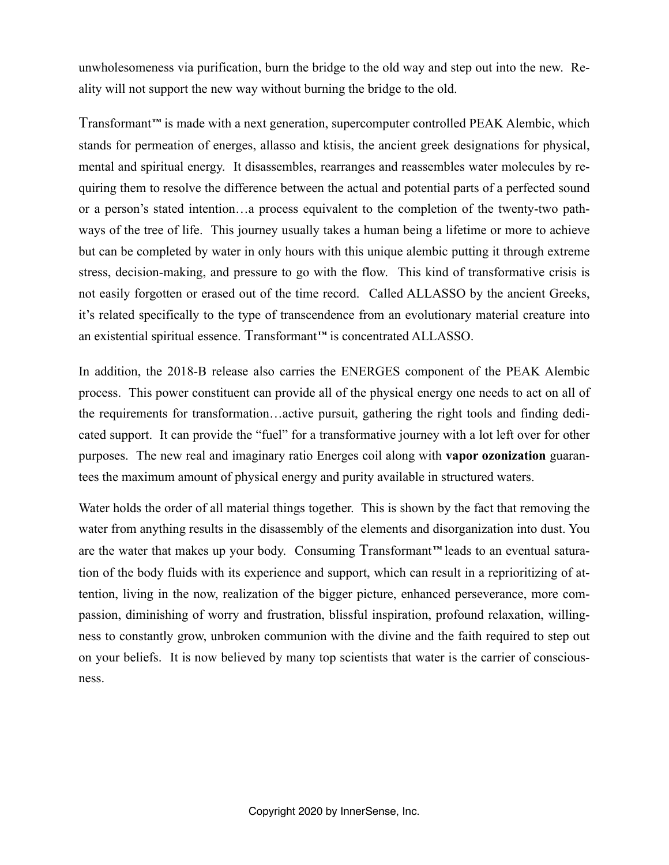unwholesomeness via purification, burn the bridge to the old way and step out into the new. Reality will not support the new way without burning the bridge to the old.

Transformant**™** is made with a next generation, supercomputer controlled PEAK Alembic, which stands for permeation of energes, allasso and ktisis, the ancient greek designations for physical, mental and spiritual energy. It disassembles, rearranges and reassembles water molecules by requiring them to resolve the difference between the actual and potential parts of a perfected sound or a person's stated intention…a process equivalent to the completion of the twenty-two pathways of the tree of life. This journey usually takes a human being a lifetime or more to achieve but can be completed by water in only hours with this unique alembic putting it through extreme stress, decision-making, and pressure to go with the flow. This kind of transformative crisis is not easily forgotten or erased out of the time record. Called ALLASSO by the ancient Greeks, it's related specifically to the type of transcendence from an evolutionary material creature into an existential spiritual essence. Transformant**™** is concentrated ALLASSO.

In addition, the 2018-B release also carries the ENERGES component of the PEAK Alembic process. This power constituent can provide all of the physical energy one needs to act on all of the requirements for transformation…active pursuit, gathering the right tools and finding dedicated support. It can provide the "fuel" for a transformative journey with a lot left over for other purposes. The new real and imaginary ratio Energes coil along with **vapor ozonization** guarantees the maximum amount of physical energy and purity available in structured waters.

Water holds the order of all material things together. This is shown by the fact that removing the water from anything results in the disassembly of the elements and disorganization into dust. You are the water that makes up your body. Consuming Transformant**™** leads to an eventual saturation of the body fluids with its experience and support, which can result in a reprioritizing of attention, living in the now, realization of the bigger picture, enhanced perseverance, more compassion, diminishing of worry and frustration, blissful inspiration, profound relaxation, willingness to constantly grow, unbroken communion with the divine and the faith required to step out on your beliefs. It is now believed by many top scientists that water is the carrier of consciousness.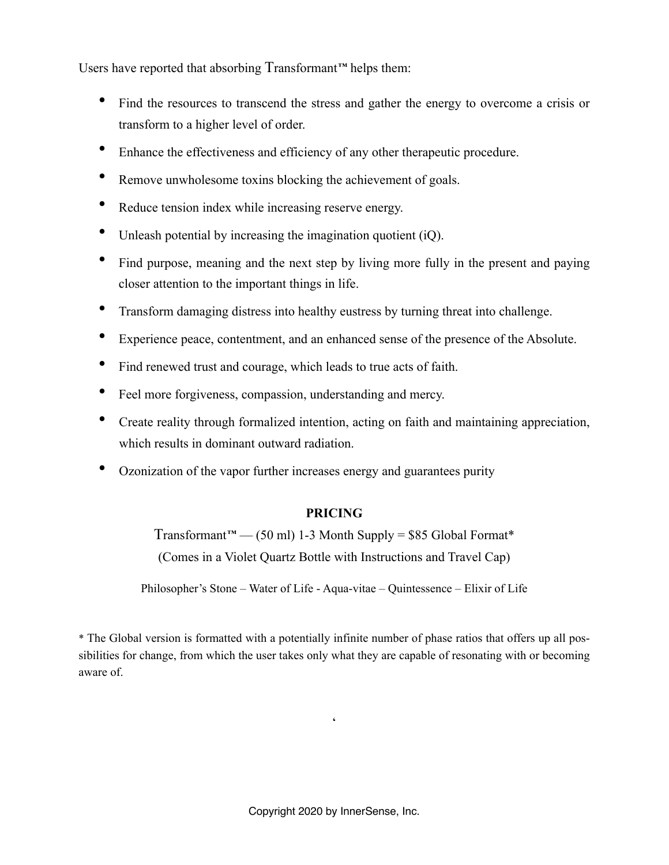Users have reported that absorbing Transformant**™** helps them:

- Find the resources to transcend the stress and gather the energy to overcome a crisis or transform to a higher level of order.
- Enhance the effectiveness and efficiency of any other therapeutic procedure.
- Remove unwholesome toxins blocking the achievement of goals.
- Reduce tension index while increasing reserve energy.
- Unleash potential by increasing the imagination quotient (iQ).
- Find purpose, meaning and the next step by living more fully in the present and paying closer attention to the important things in life.
- Transform damaging distress into healthy eustress by turning threat into challenge.
- Experience peace, contentment, and an enhanced sense of the presence of the Absolute.
- Find renewed trust and courage, which leads to true acts of faith.
- Feel more forgiveness, compassion, understanding and mercy.
- Create reality through formalized intention, acting on faith and maintaining appreciation, which results in dominant outward radiation.
- Ozonization of the vapor further increases energy and guarantees purity

## **PRICING**

Transformant**™** — (50 ml) 1-3 Month Supply = \$85 Global Format\* (Comes in a Violet Quartz Bottle with Instructions and Travel Cap)

Philosopher's Stone – Water of Life - Aqua-vitae – Quintessence – Elixir of Life

\* The Global version is formatted with a potentially infinite number of phase ratios that offers up all possibilities for change, from which the user takes only what they are capable of resonating with or becoming aware of.

**'**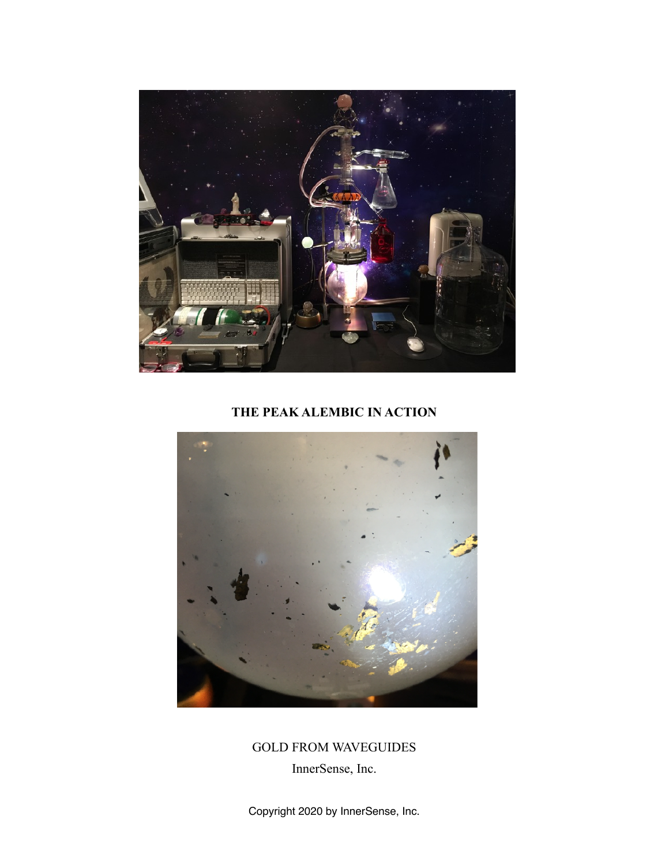

## **THE PEAK ALEMBIC IN ACTION**



GOLD FROM WAVEGUIDES

InnerSense, Inc.

Copyright 2020 by InnerSense, Inc.